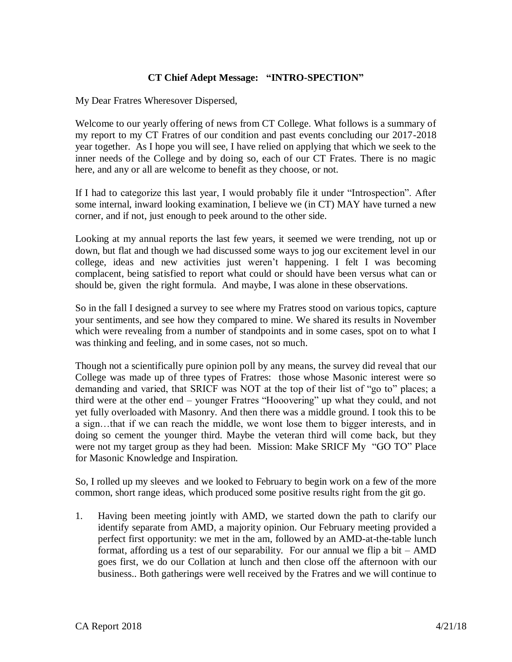## **CT Chief Adept Message: "INTRO-SPECTION"**

My Dear Fratres Wheresover Dispersed,

Welcome to our yearly offering of news from CT College. What follows is a summary of my report to my CT Fratres of our condition and past events concluding our 2017-2018 year together. As I hope you will see, I have relied on applying that which we seek to the inner needs of the College and by doing so, each of our CT Frates. There is no magic here, and any or all are welcome to benefit as they choose, or not.

If I had to categorize this last year, I would probably file it under "Introspection". After some internal, inward looking examination, I believe we (in CT) MAY have turned a new corner, and if not, just enough to peek around to the other side.

Looking at my annual reports the last few years, it seemed we were trending, not up or down, but flat and though we had discussed some ways to jog our excitement level in our college, ideas and new activities just weren't happening. I felt I was becoming complacent, being satisfied to report what could or should have been versus what can or should be, given the right formula. And maybe, I was alone in these observations.

So in the fall I designed a survey to see where my Fratres stood on various topics, capture your sentiments, and see how they compared to mine. We shared its results in November which were revealing from a number of standpoints and in some cases, spot on to what I was thinking and feeling, and in some cases, not so much.

Though not a scientifically pure opinion poll by any means, the survey did reveal that our College was made up of three types of Fratres: those whose Masonic interest were so demanding and varied, that SRICF was NOT at the top of their list of "go to" places; a third were at the other end – younger Fratres "Hooovering" up what they could, and not yet fully overloaded with Masonry. And then there was a middle ground. I took this to be a sign…that if we can reach the middle, we wont lose them to bigger interests, and in doing so cement the younger third. Maybe the veteran third will come back, but they were not my target group as they had been. Mission: Make SRICF My "GO TO" Place for Masonic Knowledge and Inspiration.

So, I rolled up my sleeves and we looked to February to begin work on a few of the more common, short range ideas, which produced some positive results right from the git go.

1. Having been meeting jointly with AMD, we started down the path to clarify our identify separate from AMD, a majority opinion. Our February meeting provided a perfect first opportunity: we met in the am, followed by an AMD-at-the-table lunch format, affording us a test of our separability. For our annual we flip a bit  $-$  AMD goes first, we do our Collation at lunch and then close off the afternoon with our business.. Both gatherings were well received by the Fratres and we will continue to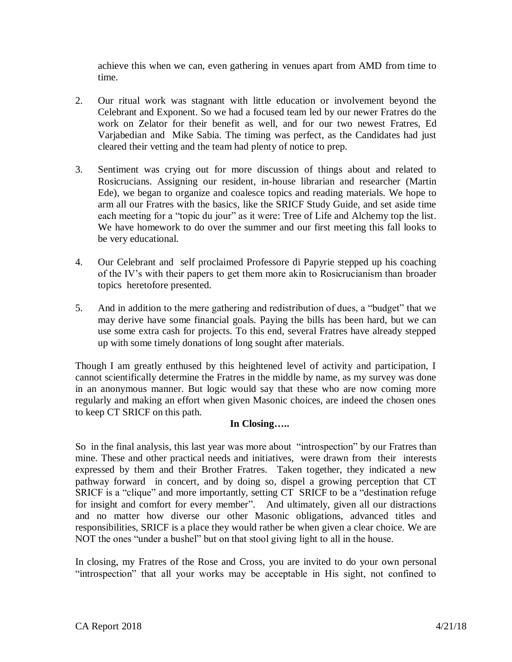achieve this when we can, even gathering in venues apart from AMD from time to time.

- 2. Our ritual work was stagnant with little education or involvement beyond the Celebrant and Exponent. So we had a focused team led by our newer Fratres do the work on Zelator for their benefit as well, and for our two newest Fratres, Ed Varjabedian and Mike Sabia. The timing was perfect, as the Candidates had just cleared their vetting and the team had plenty of notice to prep.
- 3. Sentiment was crying out for more discussion of things about and related to Rosicrucians. Assigning our resident, in-house librarian and researcher (Martin Ede), we began to organize and coalesce topics and reading materials. We hope to arm all our Fratres with the basics, like the SRICF Study Guide, and set aside time each meeting for a "topic du jour" as it were: Tree of Life and Alchemy top the list. We have homework to do over the summer and our first meeting this fall looks to be very educational.
- 4. Our Celebrant and self proclaimed Professore di Papyrie stepped up his coaching of the IV's with their papers to get them more akin to Rosicrucianism than broader topics heretofore presented.
- 5. And in addition to the mere gathering and redistribution of dues, a "budget" that we may derive have some financial goals. Paying the bills has been hard, but we can use some extra cash for projects. To this end, several Fratres have already stepped up with some timely donations of long sought after materials.

Though I am greatly enthused by this heightened level of activity and participation, I cannot scientifically determine the Fratres in the middle by name, as my survey was done in an anonymous manner. But logic would say that these who are now coming more regularly and making an effort when given Masonic choices, are indeed the chosen ones to keep CT SRICF on this path.

## **In Closing…..**

So in the final analysis, this last year was more about "introspection" by our Fratres than mine. These and other practical needs and initiatives, were drawn from their interests expressed by them and their Brother Fratres. Taken together, they indicated a new pathway forward in concert, and by doing so, dispel a growing perception that CT SRICF is a "clique" and more importantly, setting CT SRICF to be a "destination refuge for insight and comfort for every member". And ultimately, given all our distractions and no matter how diverse our other Masonic obligations, advanced titles and responsibilities, SRICF is a place they would rather be when given a clear choice. We are NOT the ones "under a bushel" but on that stool giving light to all in the house.

In closing, my Fratres of the Rose and Cross, you are invited to do your own personal "introspection" that all your works may be acceptable in His sight, not confined to